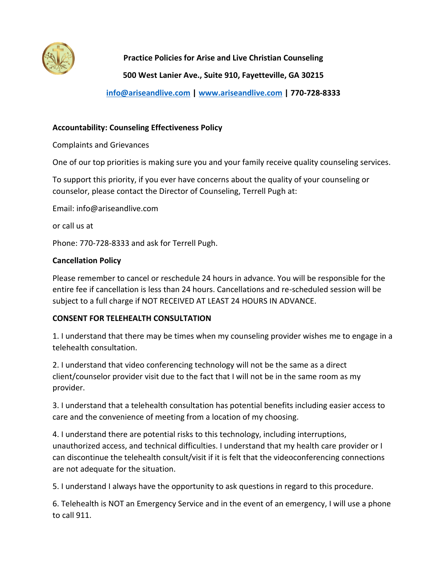

# **Practice Policies for Arise and Live Christian Counseling**

**500 West Lanier Ave., Suite 910, Fayetteville, GA 30215**

**[info@ariseandlive.com](mailto:info@ariseandlive.com) | [www.ariseandlive.com](http://www.ariseandlive.com/) | 770-728-8333**

## **Accountability: Counseling Effectiveness Policy**

Complaints and Grievances

One of our top priorities is making sure you and your family receive quality counseling services.

To support this priority, if you ever have concerns about the quality of your counseling or counselor, please contact the Director of Counseling, Terrell Pugh at:

Email: info@ariseandlive.com

or call us at

Phone: 770-728-8333 and ask for Terrell Pugh.

### **Cancellation Policy**

Please remember to cancel or reschedule 24 hours in advance. You will be responsible for the entire fee if cancellation is less than 24 hours. Cancellations and re-scheduled session will be subject to a full charge if NOT RECEIVED AT LEAST 24 HOURS IN ADVANCE.

## **CONSENT FOR TELEHEALTH CONSULTATION**

1. I understand that there may be times when my counseling provider wishes me to engage in a telehealth consultation.

2. I understand that video conferencing technology will not be the same as a direct client/counselor provider visit due to the fact that I will not be in the same room as my provider.

3. I understand that a telehealth consultation has potential benefits including easier access to care and the convenience of meeting from a location of my choosing.

4. I understand there are potential risks to this technology, including interruptions, unauthorized access, and technical difficulties. I understand that my health care provider or I can discontinue the telehealth consult/visit if it is felt that the videoconferencing connections are not adequate for the situation.

5. I understand I always have the opportunity to ask questions in regard to this procedure.

6. Telehealth is NOT an Emergency Service and in the event of an emergency, I will use a phone to call 911.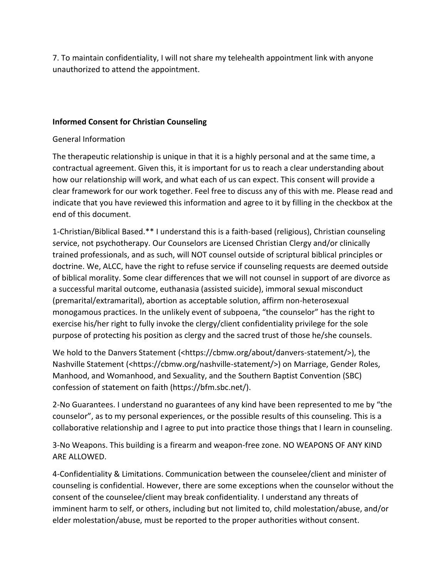7. To maintain confidentiality, I will not share my telehealth appointment link with anyone unauthorized to attend the appointment.

## **Informed Consent for Christian Counseling**

### General Information

The therapeutic relationship is unique in that it is a highly personal and at the same time, a contractual agreement. Given this, it is important for us to reach a clear understanding about how our relationship will work, and what each of us can expect. This consent will provide a clear framework for our work together. Feel free to discuss any of this with me. Please read and indicate that you have reviewed this information and agree to it by filling in the checkbox at the end of this document.

1-Christian/Biblical Based.\*\* I understand this is a faith-based (religious), Christian counseling service, not psychotherapy. Our Counselors are Licensed Christian Clergy and/or clinically trained professionals, and as such, will NOT counsel outside of scriptural biblical principles or doctrine. We, ALCC, have the right to refuse service if counseling requests are deemed outside of biblical morality. Some clear differences that we will not counsel in support of are divorce as a successful marital outcome, euthanasia (assisted suicide), immoral sexual misconduct (premarital/extramarital), abortion as acceptable solution, affirm non-heterosexual monogamous practices. In the unlikely event of subpoena, "the counselor" has the right to exercise his/her right to fully invoke the clergy/client confidentiality privilege for the sole purpose of protecting his position as clergy and the sacred trust of those he/she counsels.

We hold to the Danvers Statement (<https://cbmw.org/about/danvers-statement/>), the Nashville Statement (<https://cbmw.org/nashville-statement/>) on Marriage, Gender Roles, Manhood, and Womanhood, and Sexuality, and the Southern Baptist Convention (SBC) confession of statement on faith (https://bfm.sbc.net/).

2-No Guarantees. I understand no guarantees of any kind have been represented to me by "the counselor", as to my personal experiences, or the possible results of this counseling. This is a collaborative relationship and I agree to put into practice those things that I learn in counseling.

3-No Weapons. This building is a firearm and weapon-free zone. NO WEAPONS OF ANY KIND ARE ALLOWED.

4-Confidentiality & Limitations. Communication between the counselee/client and minister of counseling is confidential. However, there are some exceptions when the counselor without the consent of the counselee/client may break confidentiality. I understand any threats of imminent harm to self, or others, including but not limited to, child molestation/abuse, and/or elder molestation/abuse, must be reported to the proper authorities without consent.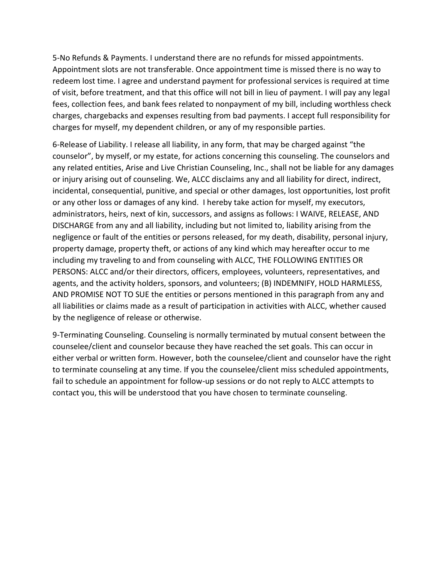5-No Refunds & Payments. I understand there are no refunds for missed appointments. Appointment slots are not transferable. Once appointment time is missed there is no way to redeem lost time. I agree and understand payment for professional services is required at time of visit, before treatment, and that this office will not bill in lieu of payment. I will pay any legal fees, collection fees, and bank fees related to nonpayment of my bill, including worthless check charges, chargebacks and expenses resulting from bad payments. I accept full responsibility for charges for myself, my dependent children, or any of my responsible parties.

6-Release of Liability. I release all liability, in any form, that may be charged against "the counselor", by myself, or my estate, for actions concerning this counseling. The counselors and any related entities, Arise and Live Christian Counseling, Inc., shall not be liable for any damages or injury arising out of counseling. We, ALCC disclaims any and all liability for direct, indirect, incidental, consequential, punitive, and special or other damages, lost opportunities, lost profit or any other loss or damages of any kind. I hereby take action for myself, my executors, administrators, heirs, next of kin, successors, and assigns as follows: I WAIVE, RELEASE, AND DISCHARGE from any and all liability, including but not limited to, liability arising from the negligence or fault of the entities or persons released, for my death, disability, personal injury, property damage, property theft, or actions of any kind which may hereafter occur to me including my traveling to and from counseling with ALCC, THE FOLLOWING ENTITIES OR PERSONS: ALCC and/or their directors, officers, employees, volunteers, representatives, and agents, and the activity holders, sponsors, and volunteers; (B) INDEMNIFY, HOLD HARMLESS, AND PROMISE NOT TO SUE the entities or persons mentioned in this paragraph from any and all liabilities or claims made as a result of participation in activities with ALCC, whether caused by the negligence of release or otherwise.

9-Terminating Counseling. Counseling is normally terminated by mutual consent between the counselee/client and counselor because they have reached the set goals. This can occur in either verbal or written form. However, both the counselee/client and counselor have the right to terminate counseling at any time. If you the counselee/client miss scheduled appointments, fail to schedule an appointment for follow-up sessions or do not reply to ALCC attempts to contact you, this will be understood that you have chosen to terminate counseling.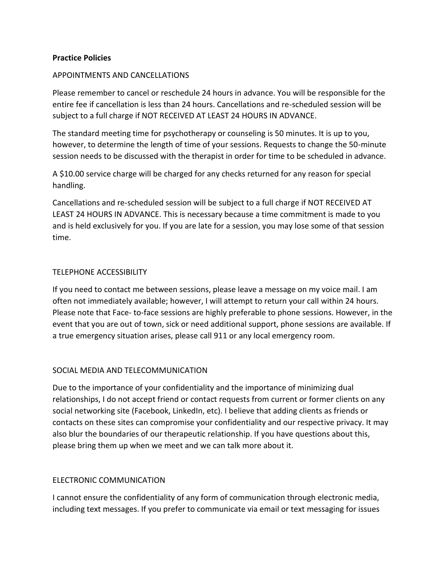### **Practice Policies**

#### APPOINTMENTS AND CANCELLATIONS

Please remember to cancel or reschedule 24 hours in advance. You will be responsible for the entire fee if cancellation is less than 24 hours. Cancellations and re-scheduled session will be subject to a full charge if NOT RECEIVED AT LEAST 24 HOURS IN ADVANCE.

The standard meeting time for psychotherapy or counseling is 50 minutes. It is up to you, however, to determine the length of time of your sessions. Requests to change the 50-minute session needs to be discussed with the therapist in order for time to be scheduled in advance.

A \$10.00 service charge will be charged for any checks returned for any reason for special handling.

Cancellations and re-scheduled session will be subject to a full charge if NOT RECEIVED AT LEAST 24 HOURS IN ADVANCE. This is necessary because a time commitment is made to you and is held exclusively for you. If you are late for a session, you may lose some of that session time.

#### TELEPHONE ACCESSIBILITY

If you need to contact me between sessions, please leave a message on my voice mail. I am often not immediately available; however, I will attempt to return your call within 24 hours. Please note that Face- to-face sessions are highly preferable to phone sessions. However, in the event that you are out of town, sick or need additional support, phone sessions are available. If a true emergency situation arises, please call 911 or any local emergency room.

#### SOCIAL MEDIA AND TELECOMMUNICATION

Due to the importance of your confidentiality and the importance of minimizing dual relationships, I do not accept friend or contact requests from current or former clients on any social networking site (Facebook, LinkedIn, etc). I believe that adding clients as friends or contacts on these sites can compromise your confidentiality and our respective privacy. It may also blur the boundaries of our therapeutic relationship. If you have questions about this, please bring them up when we meet and we can talk more about it.

#### ELECTRONIC COMMUNICATION

I cannot ensure the confidentiality of any form of communication through electronic media, including text messages. If you prefer to communicate via email or text messaging for issues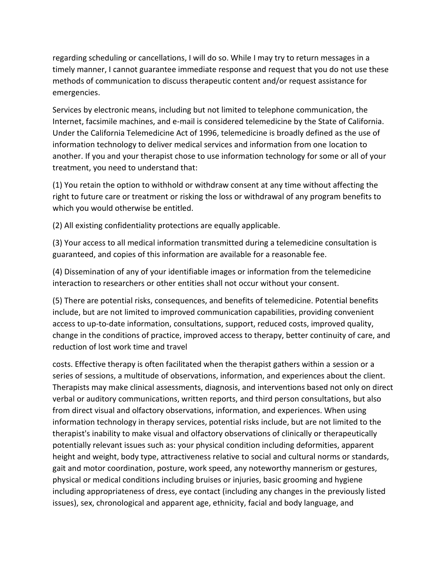regarding scheduling or cancellations, I will do so. While I may try to return messages in a timely manner, I cannot guarantee immediate response and request that you do not use these methods of communication to discuss therapeutic content and/or request assistance for emergencies.

Services by electronic means, including but not limited to telephone communication, the Internet, facsimile machines, and e-mail is considered telemedicine by the State of California. Under the California Telemedicine Act of 1996, telemedicine is broadly defined as the use of information technology to deliver medical services and information from one location to another. If you and your therapist chose to use information technology for some or all of your treatment, you need to understand that:

(1) You retain the option to withhold or withdraw consent at any time without affecting the right to future care or treatment or risking the loss or withdrawal of any program benefits to which you would otherwise be entitled.

(2) All existing confidentiality protections are equally applicable.

(3) Your access to all medical information transmitted during a telemedicine consultation is guaranteed, and copies of this information are available for a reasonable fee.

(4) Dissemination of any of your identifiable images or information from the telemedicine interaction to researchers or other entities shall not occur without your consent.

(5) There are potential risks, consequences, and benefits of telemedicine. Potential benefits include, but are not limited to improved communication capabilities, providing convenient access to up-to-date information, consultations, support, reduced costs, improved quality, change in the conditions of practice, improved access to therapy, better continuity of care, and reduction of lost work time and travel

costs. Effective therapy is often facilitated when the therapist gathers within a session or a series of sessions, a multitude of observations, information, and experiences about the client. Therapists may make clinical assessments, diagnosis, and interventions based not only on direct verbal or auditory communications, written reports, and third person consultations, but also from direct visual and olfactory observations, information, and experiences. When using information technology in therapy services, potential risks include, but are not limited to the therapist's inability to make visual and olfactory observations of clinically or therapeutically potentially relevant issues such as: your physical condition including deformities, apparent height and weight, body type, attractiveness relative to social and cultural norms or standards, gait and motor coordination, posture, work speed, any noteworthy mannerism or gestures, physical or medical conditions including bruises or injuries, basic grooming and hygiene including appropriateness of dress, eye contact (including any changes in the previously listed issues), sex, chronological and apparent age, ethnicity, facial and body language, and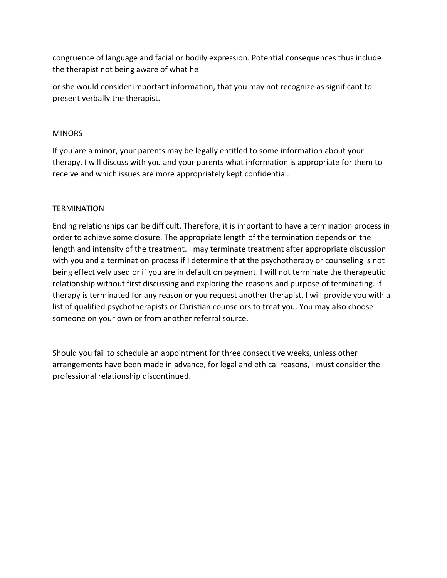congruence of language and facial or bodily expression. Potential consequences thus include the therapist not being aware of what he

or she would consider important information, that you may not recognize as significant to present verbally the therapist.

### MINORS

If you are a minor, your parents may be legally entitled to some information about your therapy. I will discuss with you and your parents what information is appropriate for them to receive and which issues are more appropriately kept confidential.

## **TERMINATION**

Ending relationships can be difficult. Therefore, it is important to have a termination process in order to achieve some closure. The appropriate length of the termination depends on the length and intensity of the treatment. I may terminate treatment after appropriate discussion with you and a termination process if I determine that the psychotherapy or counseling is not being effectively used or if you are in default on payment. I will not terminate the therapeutic relationship without first discussing and exploring the reasons and purpose of terminating. If therapy is terminated for any reason or you request another therapist, I will provide you with a list of qualified psychotherapists or Christian counselors to treat you. You may also choose someone on your own or from another referral source.

Should you fail to schedule an appointment for three consecutive weeks, unless other arrangements have been made in advance, for legal and ethical reasons, I must consider the professional relationship discontinued.